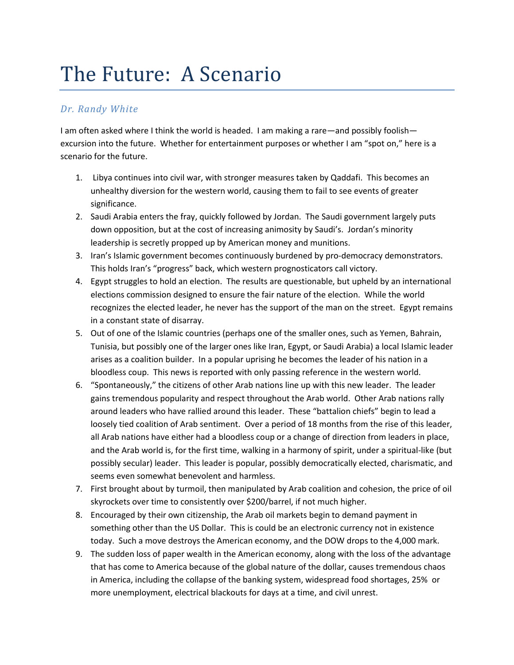## The Future: A Scenario

## *Dr. Randy White*

I am often asked where I think the world is headed. I am making a rare—and possibly foolish excursion into the future. Whether for entertainment purposes or whether I am "spot on," here is a scenario for the future.

- 1. Libya continues into civil war, with stronger measures taken by Qaddafi. This becomes an unhealthy diversion for the western world, causing them to fail to see events of greater significance.
- 2. Saudi Arabia enters the fray, quickly followed by Jordan. The Saudi government largely puts down opposition, but at the cost of increasing animosity by Saudi's. Jordan's minority leadership is secretly propped up by American money and munitions.
- 3. Iran's Islamic government becomes continuously burdened by pro-democracy demonstrators. This holds Iran's "progress" back, which western prognosticators call victory.
- 4. Egypt struggles to hold an election. The results are questionable, but upheld by an international elections commission designed to ensure the fair nature of the election. While the world recognizes the elected leader, he never has the support of the man on the street. Egypt remains in a constant state of disarray.
- 5. Out of one of the Islamic countries (perhaps one of the smaller ones, such as Yemen, Bahrain, Tunisia, but possibly one of the larger ones like Iran, Egypt, or Saudi Arabia) a local Islamic leader arises as a coalition builder. In a popular uprising he becomes the leader of his nation in a bloodless coup. This news is reported with only passing reference in the western world.
- 6. "Spontaneously," the citizens of other Arab nations line up with this new leader. The leader gains tremendous popularity and respect throughout the Arab world. Other Arab nations rally around leaders who have rallied around this leader. These "battalion chiefs" begin to lead a loosely tied coalition of Arab sentiment. Over a period of 18 months from the rise of this leader, all Arab nations have either had a bloodless coup or a change of direction from leaders in place, and the Arab world is, for the first time, walking in a harmony of spirit, under a spiritual-like (but possibly secular) leader. This leader is popular, possibly democratically elected, charismatic, and seems even somewhat benevolent and harmless.
- 7. First brought about by turmoil, then manipulated by Arab coalition and cohesion, the price of oil skyrockets over time to consistently over \$200/barrel, if not much higher.
- 8. Encouraged by their own citizenship, the Arab oil markets begin to demand payment in something other than the US Dollar. This is could be an electronic currency not in existence today. Such a move destroys the American economy, and the DOW drops to the 4,000 mark.
- 9. The sudden loss of paper wealth in the American economy, along with the loss of the advantage that has come to America because of the global nature of the dollar, causes tremendous chaos in America, including the collapse of the banking system, widespread food shortages, 25% or more unemployment, electrical blackouts for days at a time, and civil unrest.